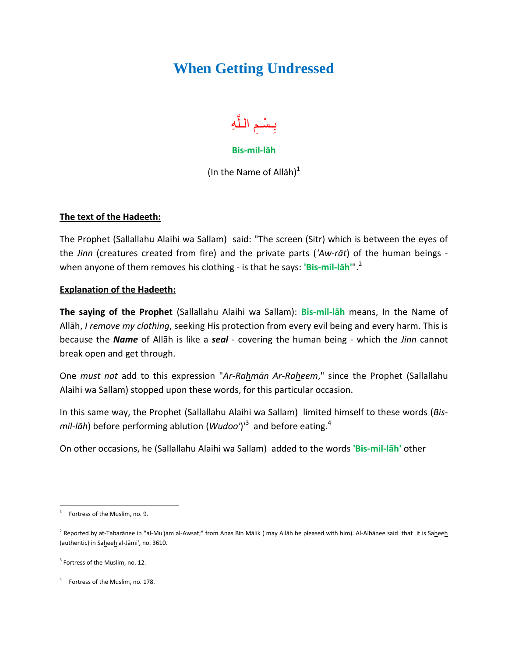## **When Getting Undressed**



## **Bis-mil-lāh**

(In the Name of Allah) $<sup>1</sup>$ </sup>

## **The text of the Hadeeth:**

The Prophet (Sallallahu Alaihi wa Sallam) said: "The screen (Sitr) which is between the eyes of the *Jinn* (creatures created from fire) and the private parts (*'Aw-rāt*) of the human beings when anyone of them removes his clothing - is that he says: **'Bis-mil-lāh'**". 2

## **Explanation of the Hadeeth:**

**The saying of the Prophet** (Sallallahu Alaihi wa Sallam): **Bis-mil-lāh** means, In the Name of Allāh, *I remove my clothing*, seeking His protection from every evil being and every harm. This is because the *Name* of Allāh is like a *seal* - covering the human being - which the *Jinn* cannot break open and get through.

One *must not* add to this expression "*Ar-Rahmān Ar-Raheem*," since the Prophet (Sallallahu Alaihi wa Sallam) stopped upon these words, for this particular occasion.

In this same way, the Prophet (Sallallahu Alaihi wa Sallam) limited himself to these words (*Bismil-lāh*) before performing ablution (*Wudoo'*)'<sup>3</sup> and before eating.<sup>4</sup>

On other occasions, he (Sallallahu Alaihi wa Sallam) added to the words **'Bis-mil-lāh'** other

 $\overline{a}$ 1 Fortress of the Muslim, no. 9.

<sup>&</sup>lt;sup>2</sup> Reported by at-Tabarānee in "al-Mu'jam al-Awsat;" from Anas Bin Mālik (may Allāh be pleased with him). Al-Albānee said that it is Saheeh (authentic) in Saheeh al-Jāmi', no. 3610.

<sup>&</sup>lt;sup>3</sup> Fortress of the Muslim, no. 12.

<sup>&</sup>lt;sup>4</sup> Fortress of the Muslim, no. 178.